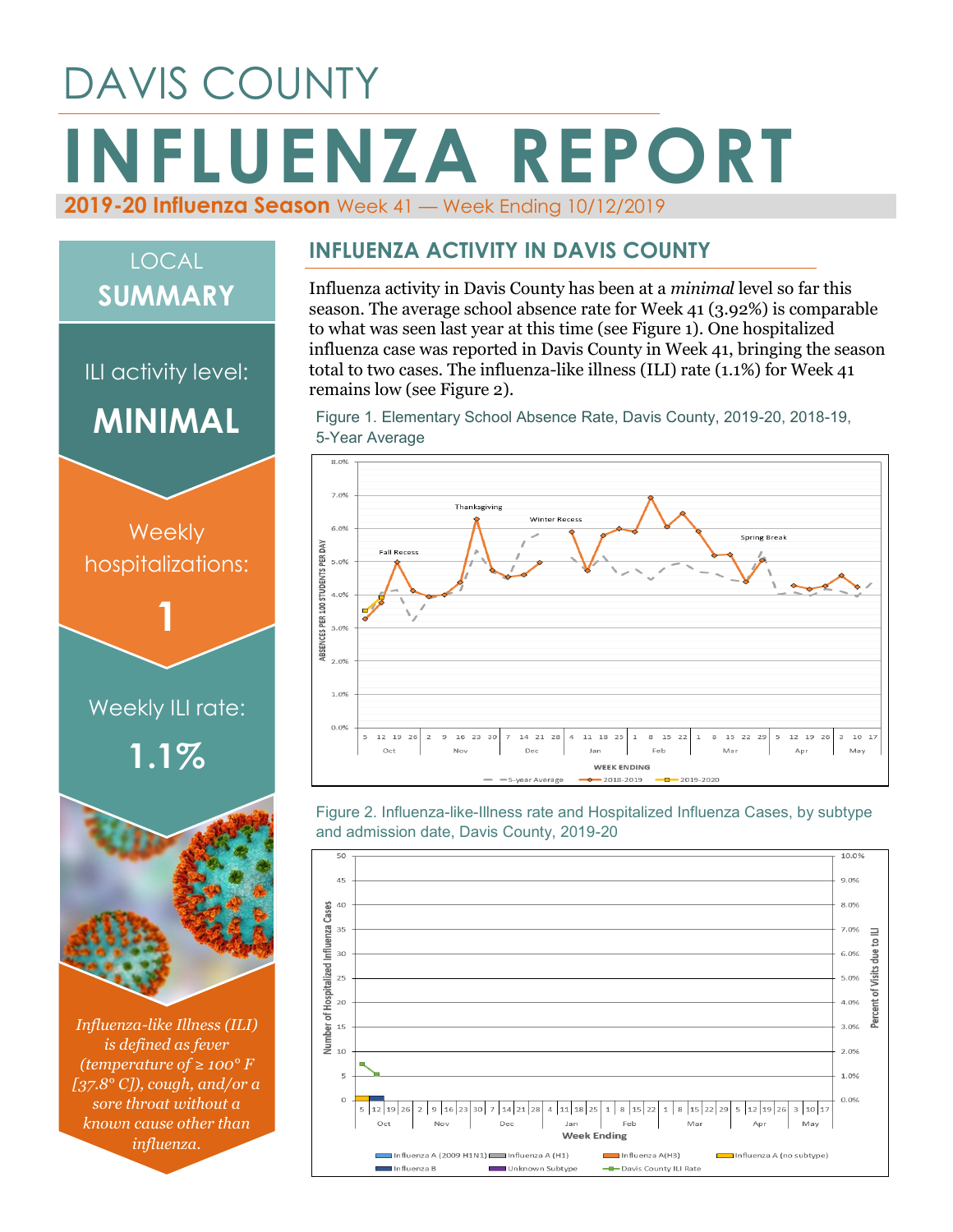# DAVIS COUNTY **INFLUENZA REPORT 2019-20 Influenza Season** Week 41 — Week Ending 10/12/2019

## LOCAL **SUMMARY**

ILI activity level:



*Influenza-like Illness (ILI) is defined as fever (temperature of ≥ 100° F [37.8° C]), cough, and/or a sore throat without a known cause other than influenza.*

#### **INFLUENZA ACTIVITY IN DAVIS COUNTY**

Influenza activity in Davis County has been at a *minimal* level so far this season. The average school absence rate for Week 41 (3.92%) is comparable to what was seen last year at this time (see Figure 1). One hospitalized influenza case was reported in Davis County in Week 41, bringing the season total to two cases. The influenza-like illness (ILI) rate (1.1%) for Week 41 remains low (see Figure 2).

Figure 1. Elementary School Absence Rate, Davis County, 2019-20, 2018-19, 5-Year Average



Figure 2. Influenza-like-Illness rate and Hospitalized Influenza Cases, by subtype and admission date, Davis County, 2019-20